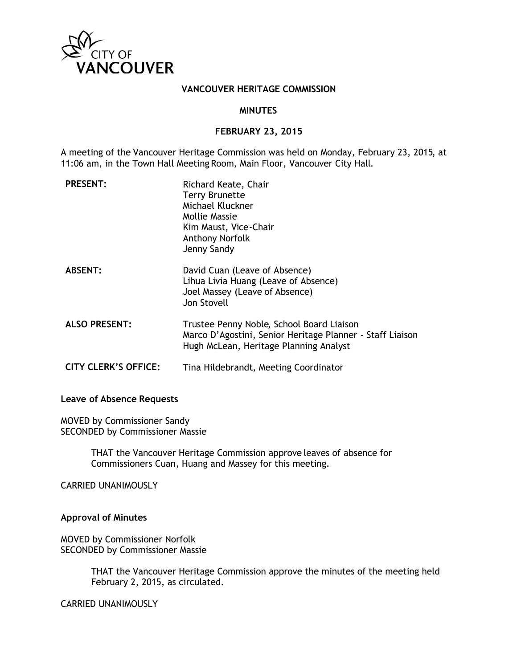

## **VANCOUVER HERITAGE COMMISSION**

#### **MINUTES**

#### **FEBRUARY 23, 2015**

A meeting of the Vancouver Heritage Commission was held on Monday, February 23, 2015, at 11:06 am, in the Town Hall Meeting Room, Main Floor, Vancouver City Hall.

| <b>PRESENT:</b>             | Richard Keate, Chair<br><b>Terry Brunette</b><br>Michael Kluckner<br>Mollie Massie<br>Kim Maust, Vice-Chair<br>Anthony Norfolk<br>Jenny Sandy    |
|-----------------------------|--------------------------------------------------------------------------------------------------------------------------------------------------|
| <b>ABSENT:</b>              | David Cuan (Leave of Absence)<br>Lihua Livia Huang (Leave of Absence)<br>Joel Massey (Leave of Absence)<br>Jon Stovell                           |
| <b>ALSO PRESENT:</b>        | Trustee Penny Noble, School Board Liaison<br>Marco D'Agostini, Senior Heritage Planner - Staff Liaison<br>Hugh McLean, Heritage Planning Analyst |
| <b>CITY CLERK'S OFFICE:</b> | Tina Hildebrandt, Meeting Coordinator                                                                                                            |

### **Leave of Absence Requests**

MOVED by Commissioner Sandy SECONDED by Commissioner Massie

> THAT the Vancouver Heritage Commission approve leaves of absence for Commissioners Cuan, Huang and Massey for this meeting.

CARRIED UNANIMOUSLY

**Approval of Minutes**

MOVED by Commissioner Norfolk SECONDED by Commissioner Massie

> THAT the Vancouver Heritage Commission approve the minutes of the meeting held February 2, 2015, as circulated.

CARRIED UNANIMOUSLY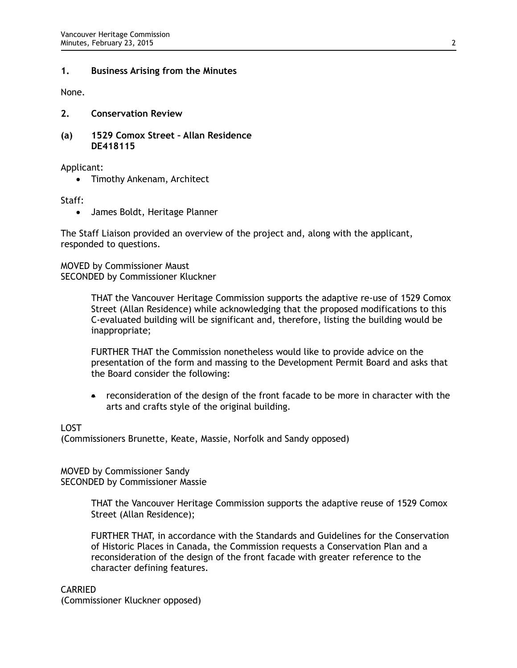## **1. Business Arising from the Minutes**

None.

- **2. Conservation Review**
- **(a) 1529 Comox Street Allan Residence DE418115**

Applicant:

• Timothy Ankenam, Architect

Staff:

• James Boldt, Heritage Planner

The Staff Liaison provided an overview of the project and, along with the applicant, responded to questions.

MOVED by Commissioner Maust SECONDED by Commissioner Kluckner

> THAT the Vancouver Heritage Commission supports the adaptive re-use of 1529 Comox Street (Allan Residence) while acknowledging that the proposed modifications to this C-evaluated building will be significant and, therefore, listing the building would be inappropriate;

FURTHER THAT the Commission nonetheless would like to provide advice on the presentation of the form and massing to the Development Permit Board and asks that the Board consider the following:

• reconsideration of the design of the front facade to be more in character with the arts and crafts style of the original building.

### LOST

(Commissioners Brunette, Keate, Massie, Norfolk and Sandy opposed)

MOVED by Commissioner Sandy SECONDED by Commissioner Massie

> THAT the Vancouver Heritage Commission supports the adaptive reuse of 1529 Comox Street (Allan Residence);

> FURTHER THAT, in accordance with the Standards and Guidelines for the Conservation of Historic Places in Canada, the Commission requests a Conservation Plan and a reconsideration of the design of the front facade with greater reference to the character defining features.

CARRIED (Commissioner Kluckner opposed)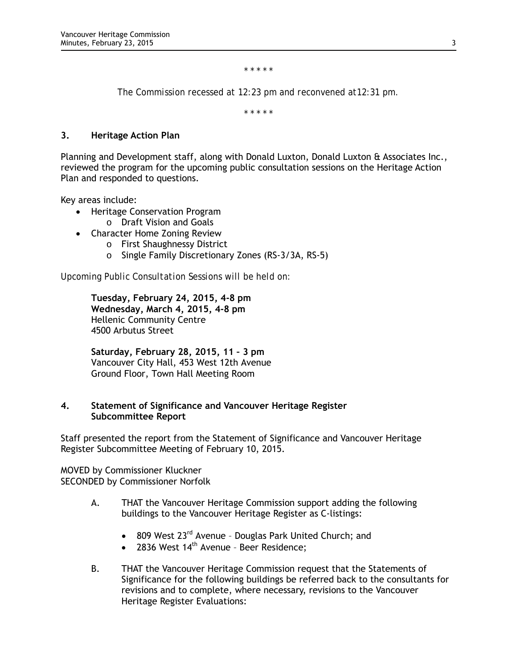*\* \* \* \* \**

*The Commission recessed at 12:23 pm and reconvened at12:31 pm.*

*\* \* \* \* \**

### **3. Heritage Action Plan**

Planning and Development staff, along with Donald Luxton, Donald Luxton & Associates Inc., reviewed the program for the upcoming public consultation sessions on the Heritage Action Plan and responded to questions.

Key areas include:

- Heritage Conservation Program
	- o Draft Vision and Goals
- Character Home Zoning Review
	- o First Shaughnessy District
	- o Single Family Discretionary Zones (RS-3/3A, RS-5)

*Upcoming Public Consultation Sessions will be held on:*

**Tuesday, February 24, 2015, 4-8 pm Wednesday, March 4, 2015, 4-8 pm**  Hellenic Community Centre 4500 Arbutus Street

**Saturday, February 28, 2015, 11 – 3 pm** Vancouver City Hall, 453 West 12th Avenue Ground Floor, Town Hall Meeting Room

## **4. Statement of Significance and Vancouver Heritage Register Subcommittee Report**

Staff presented the report from the Statement of Significance and Vancouver Heritage Register Subcommittee Meeting of February 10, 2015.

MOVED by Commissioner Kluckner SECONDED by Commissioner Norfolk

- A. THAT the Vancouver Heritage Commission support adding the following buildings to the Vancouver Heritage Register as C-listings:
	- 809 West 23<sup>rd</sup> Avenue Douglas Park United Church; and
	- 2836 West  $14<sup>th</sup>$  Avenue Beer Residence;
- B. THAT the Vancouver Heritage Commission request that the Statements of Significance for the following buildings be referred back to the consultants for revisions and to complete, where necessary, revisions to the Vancouver Heritage Register Evaluations: